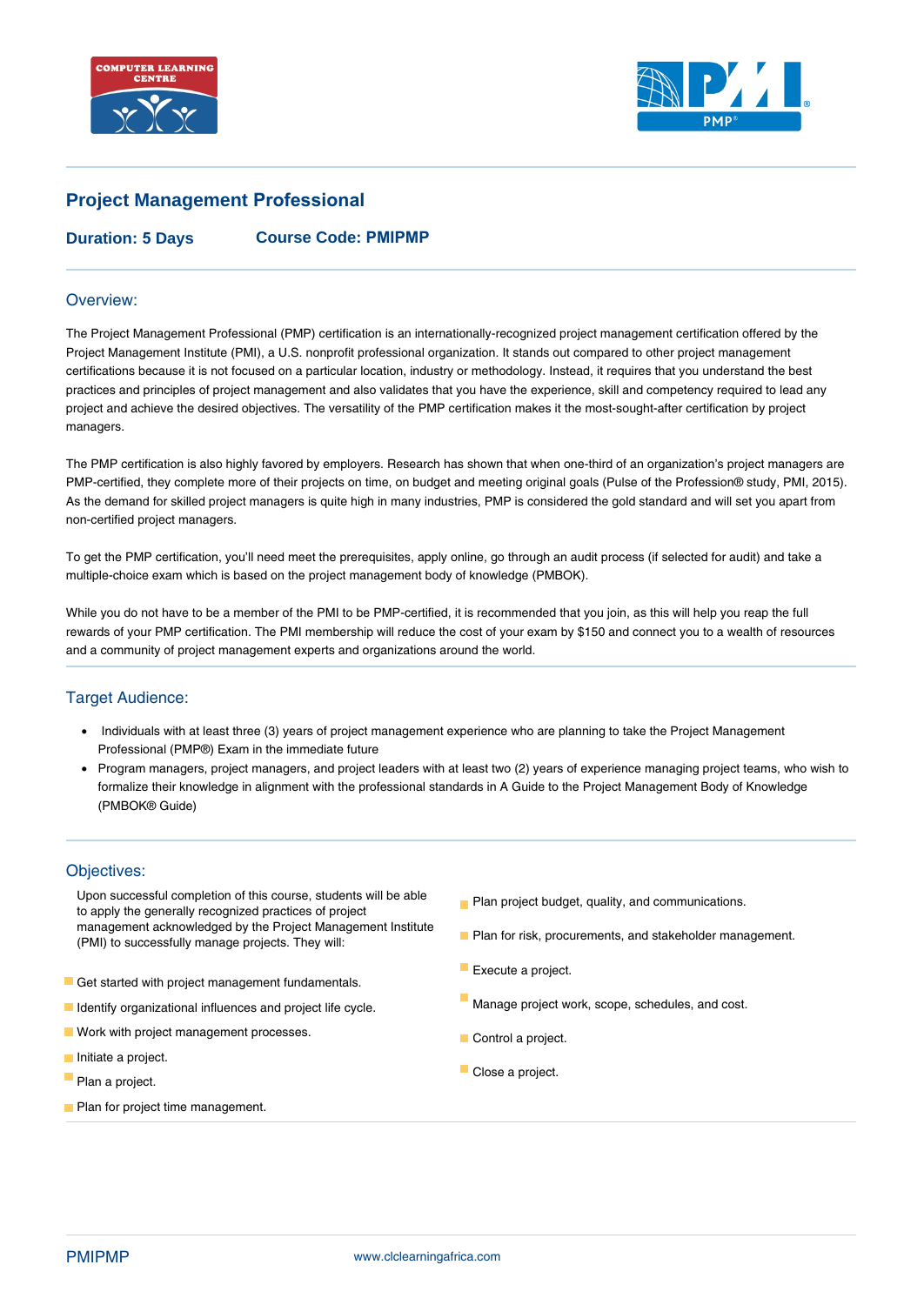



# **Project Management Professional**

**Duration: 5 Days Course Code: PMIPMP**

### Overview:

The Project Management Professional (PMP) certification is an internationally-recognized project management certification offered by the Project Management Institute (PMI), a U.S. nonprofit professional organization. It stands out compared to other project management certifications because it is not focused on a particular location, industry or methodology. Instead, it requires that you understand the best practices and principles of project management and also validates that you have the experience, skill and competency required to lead any project and achieve the desired objectives. The versatility of the PMP certification makes it the most-sought-after certification by project managers.

The PMP certification is also highly favored by employers. Research has shown that when one-third of an organization's project managers are PMP-certified, they complete more of their projects on time, on budget and meeting original goals (Pulse of the Profession® study, PMI, 2015). As the demand for skilled project managers is quite high in many industries, PMP is considered the gold standard and will set you apart from non-certified project managers.

To get the PMP certification, you'll need meet the prerequisites, apply online, go through an audit process (if selected for audit) and take a multiple-choice exam which is based on the project management body of knowledge (PMBOK).

While you do not have to be a member of the PMI to be PMP-certified, it is recommended that you join, as this will help you reap the full rewards of your PMP certification. The PMI membership will reduce the cost of your exam by \$150 and connect you to a wealth of resources and a community of project management experts and organizations around the world.

### Target Audience:

- Individuals with at least three (3) years of project management experience who are planning to take the Project Management Professional (PMP®) Exam in the immediate future
- Program managers, project managers, and project leaders with at least two (2) years of experience managing project teams, who wish to formalize their knowledge in alignment with the professional standards in A Guide to the Project Management Body of Knowledge (PMBOK® Guide)

### Objectives:

- Upon successful completion of this course, students will be able to apply the generally recognized practices of project management acknowledged by the Project Management Institute (PMI) to successfully manage projects. They will:
- Get started with project management fundamentals.
- **I** Identify organizational influences and project life cycle.
- **Work with project management processes.**
- Initiate a project.
- Plan a project.
- **Plan for project time management.**
- **Plan project budget, quality, and communications.**
- **Plan for risk, procurements, and stakeholder management.**
- $\mathbb{R}^n$ Execute a project.
- Manage project work, scope, schedules, and cost.
- Control a project.
- Close a project.